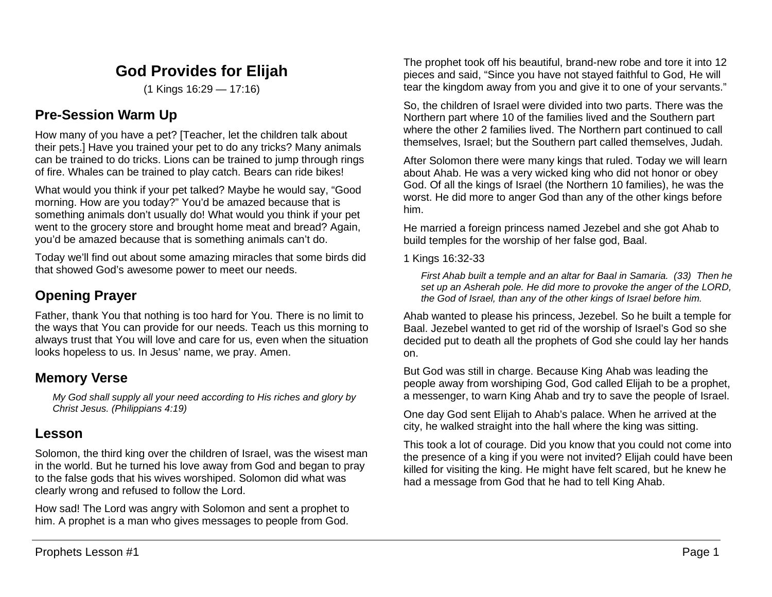# **God Provides for Elijah**

(1 Kings 16:29 — 17:16)

## **Pre-Session Warm Up**

How many of you have a pet? [Teacher, let the children talk about their pets.] Have you trained your pet to do any tricks? Many animals can be trained to do tricks. Lions can be trained to jump through rings of fire. Whales can be trained to play catch. Bears can ride bikes!

What would you think if your pet talked? Maybe he would say, "Good morning. How are you today?" You'd be amazed because that is something animals don't usually do! What would you think if your pet went to the grocery store and brought home meat and bread? Again, you'd be amazed because that is something animals can't do.

Today we'll find out about some amazing miracles that some birds did that showed God's awesome power to meet our needs.

# **Opening Prayer**

Father, thank You that nothing is too hard for You. There is no limit to the ways that You can provide for our needs. Teach us this morning to always trust that You will love and care for us, even when the situation looks hopeless to us. In Jesus' name, we pray. Amen.

## **Memory Verse**

*My God shall supply all your need according to His riches and glory by Christ Jesus. (Philippians 4:19)*

# **Lesson**

Solomon, the third king over the children of Israel, was the wisest man in the world. But he turned his love away from God and began to pray to the false gods that his wives worshiped. Solomon did what was clearly wrong and refused to follow the Lord.

How sad! The Lord was angry with Solomon and sent a prophet to him. A prophet is a man who gives messages to people from God.

The prophet took off his beautiful, brand-new robe and tore it into 12 pieces and said, "Since you have not stayed faithful to God, He will tear the kingdom away from you and give it to one of your servants."

So, the children of Israel were divided into two parts. There was the Northern part where 10 of the families lived and the Southern part where the other 2 families lived. The Northern part continued to call themselves, Israel; but the Southern part called themselves, Judah.

After Solomon there were many kings that ruled. Today we will learn about Ahab. He was a very wicked king who did not honor or obey God. Of all the kings of Israel (the Northern 10 families), he was the worst. He did more to anger God than any of the other kings before him.

He married a foreign princess named Jezebel and she got Ahab to build temples for the worship of her false god, Baal.

1 Kings 16:32-33

*First Ahab built a temple and an altar for Baal in Samaria. (33) Then he set up an Asherah pole. He did more to provoke the anger of the LORD, the God of Israel, than any of the other kings of Israel before him.*

Ahab wanted to please his princess, Jezebel. So he built a temple for Baal. Jezebel wanted to get rid of the worship of Israel's God so she decided put to death all the prophets of God she could lay her hands on.

But God was still in charge. Because King Ahab was leading the people away from worshiping God, God called Elijah to be a prophet, a messenger, to warn King Ahab and try to save the people of Israel.

One day God sent Elijah to Ahab's palace. When he arrived at the city, he walked straight into the hall where the king was sitting.

This took a lot of courage. Did you know that you could not come into the presence of a king if you were not invited? Elijah could have been killed for visiting the king. He might have felt scared, but he knew he had a message from God that he had to tell King Ahab.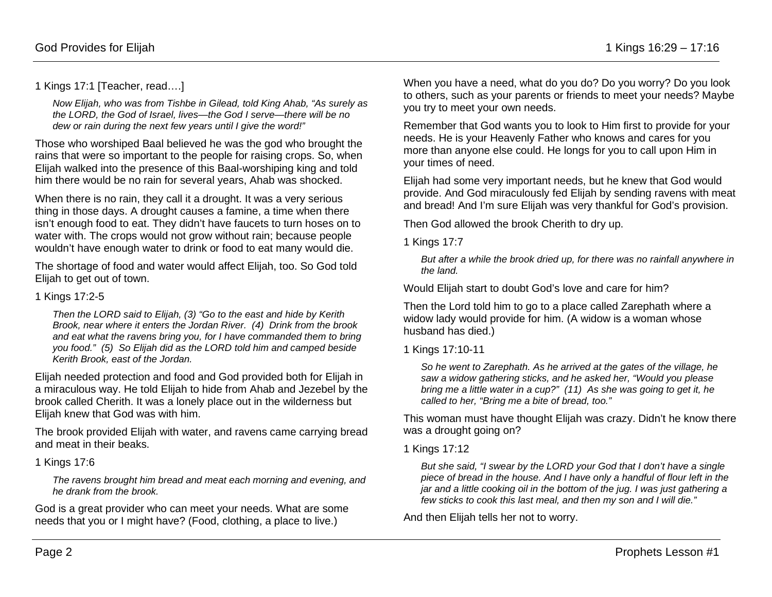1 Kings 17:1 [Teacher, read….]

*Now Elijah, who was from Tishbe in Gilead, told King Ahab, "As surely as the LORD, the God of Israel, lives—the God I serve—there will be no dew or rain during the next few years until I give the word!"*

Those who worshiped Baal believed he was the god who brought the rains that were so important to the people for raising crops. So, when Elijah walked into the presence of this Baal-worshiping king and told him there would be no rain for several years, Ahab was shocked.

When there is no rain, they call it a drought. It was a very serious thing in those days. A drought causes a famine, a time when there isn't enough food to eat. They didn't have faucets to turn hoses on to water with. The crops would not grow without rain; because people wouldn't have enough water to drink or food to eat many would die.

The shortage of food and water would affect Elijah, too. So God told Elijah to get out of town.

#### 1 Kings 17:2-5

*Then the LORD said to Elijah, (3) "Go to the east and hide by Kerith Brook, near where it enters the Jordan River. (4) Drink from the brook and eat what the ravens bring you, for I have commanded them to bring you food." (5) So Elijah did as the LORD told him and camped beside Kerith Brook, east of the Jordan.*

Elijah needed protection and food and God provided both for Elijah in a miraculous way. He told Elijah to hide from Ahab and Jezebel by the brook called Cherith. It was a lonely place out in the wilderness but Elijah knew that God was with him.

The brook provided Elijah with water, and ravens came carrying bread and meat in their beaks.

1 Kings 17:6

*The ravens brought him bread and meat each morning and evening, and he drank from the brook.*

God is a great provider who can meet your needs. What are some needs that you or I might have? (Food, clothing, a place to live.)

When you have a need, what do you do? Do you worry? Do you look to others, such as your parents or friends to meet your needs? Maybe you try to meet your own needs.

Remember that God wants you to look to Him first to provide for your needs. He is your Heavenly Father who knows and cares for you more than anyone else could. He longs for you to call upon Him in your times of need.

Elijah had some very important needs, but he knew that God would provide. And God miraculously fed Elijah by sending ravens with meat and bread! And I'm sure Elijah was very thankful for God's provision.

Then God allowed the brook Cherith to dry up.

1 Kings 17:7

*But after a while the brook dried up, for there was no rainfall anywhere in the land.*

Would Elijah start to doubt God's love and care for him?

Then the Lord told him to go to a place called Zarephath where a widow lady would provide for him. (A widow is a woman whose husband has died.)

1 Kings 17:10-11

*So he went to Zarephath. As he arrived at the gates of the village, he saw a widow gathering sticks, and he asked her, "Would you please bring me a little water in a cup?" (11) As she was going to get it, he called to her, "Bring me a bite of bread, too."*

This woman must have thought Elijah was crazy. Didn't he know there was a drought going on?

### 1 Kings 17:12

*But she said, "I swear by the LORD your God that I don't have a single piece of bread in the house. And I have only a handful of flour left in the jar and a little cooking oil in the bottom of the jug. I was just gathering a few sticks to cook this last meal, and then my son and I will die."*

And then Elijah tells her not to worry.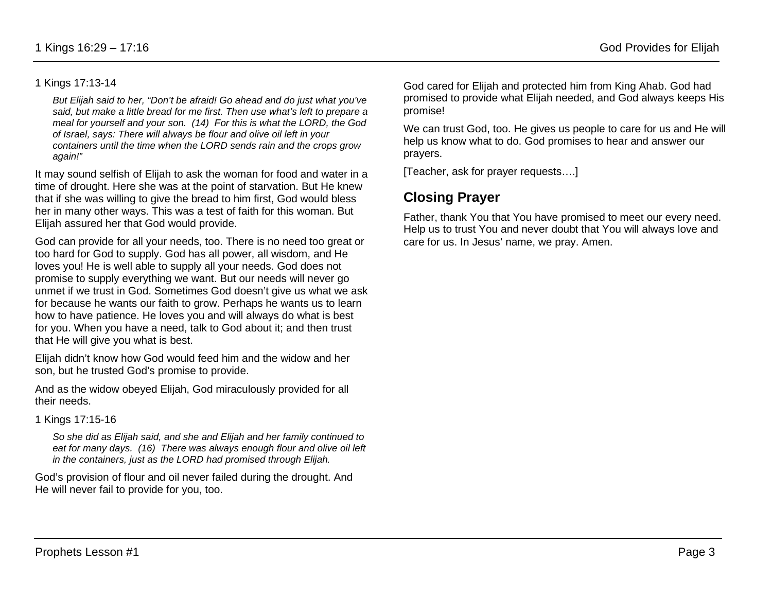#### 1 Kings 17:13-14

*But Elijah said to her, "Don't be afraid! Go ahead and do just what you've said, but make a little bread for me first. Then use what's left to prepare a meal for yourself and your son. (14) For this is what the LORD, the God of Israel, says: There will always be flour and olive oil left in your containers until the time when the LORD sends rain and the crops grow again!"*

It may sound selfish of Elijah to ask the woman for food and water in a time of drought. Here she was at the point of starvation. But He knew that if she was willing to give the bread to him first, God would bless her in many other ways. This was a test of faith for this woman. But Elijah assured her that God would provide.

God can provide for all your needs, too. There is no need too great or too hard for God to supply. God has all power, all wisdom, and He loves you! He is well able to supply all your needs. God does not promise to supply everything we want. But our needs will never go unmet if we trust in God. Sometimes God doesn't give us what we ask for because he wants our faith to grow. Perhaps he wants us to learn how to have patience. He loves you and will always do what is best for you. When you have a need, talk to God about it; and then trust that He will give you what is best.

Elijah didn't know how God would feed him and the widow and her son, but he trusted God's promise to provide.

And as the widow obeyed Elijah, God miraculously provided for all their needs.

1 Kings 17:15-16

*So she did as Elijah said, and she and Elijah and her family continued to eat for many days. (16) There was always enough flour and olive oil left in the containers, just as the LORD had promised through Elijah.*

God's provision of flour and oil never failed during the drought. And He will never fail to provide for you, too.

God cared for Elijah and protected him from King Ahab. God had promised to provide what Elijah needed, and God always keeps His promise!

We can trust God, too. He gives us people to care for us and He will help us know what to do. God promises to hear and answer our prayers.

[Teacher, ask for prayer requests….]

## **Closing Prayer**

Father, thank You that You have promised to meet our every need. Help us to trust You and never doubt that You will always love and care for us. In Jesus' name, we pray. Amen.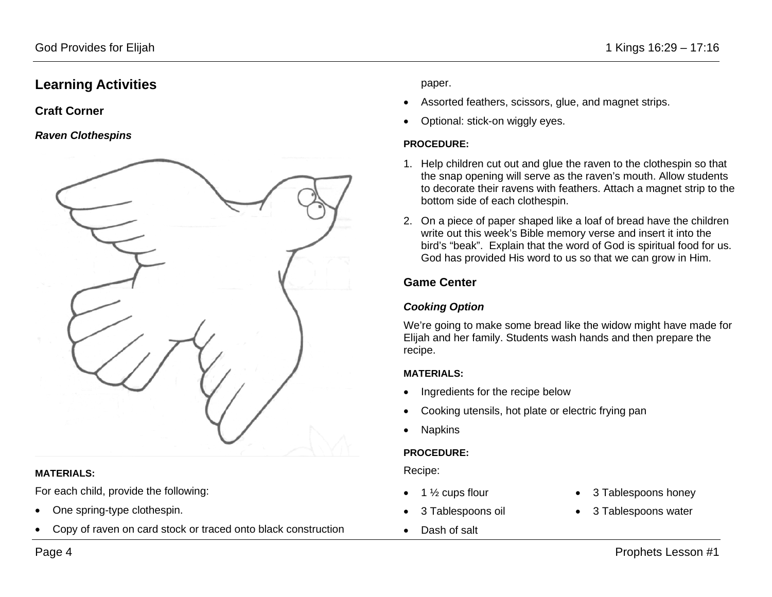## **Learning Activities**

### **Craft Corner**

#### *Raven Clothespins*



#### **MATERIALS:**

For each child, provide the following:

- One spring-type clothespin.
- Copy of raven on card stock or traced onto black construction

paper.

- Assorted feathers, scissors, glue, and magnet strips.
- Optional: stick-on wiggly eyes.

#### **PROCEDURE:**

- 1. Help children cut out and glue the raven to the clothespin so that the snap opening will serve as the raven's mouth. Allow students to decorate their ravens with feathers. Attach a magnet strip to the bottom side of each clothespin.
- 2. On a piece of paper shaped like a loaf of bread have the children write out this week's Bible memory verse and insert it into the bird's "beak". Explain that the word of God is spiritual food for us. God has provided His word to us so that we can grow in Him.

## **Game Center**

## *Cooking Option*

We're going to make some bread like the widow might have made for Elijah and her family. Students wash hands and then prepare the recipe.

### **MATERIALS:**

- Ingredients for the recipe below
- Cooking utensils, hot plate or electric frying pan
- **Napkins**

## **PROCEDURE:**

Recipe:

- 1  $\frac{1}{2}$  cups flour
- 3 Tablespoons oil
- Dash of salt
- 3 Tablespoons honey
- 3 Tablespoons water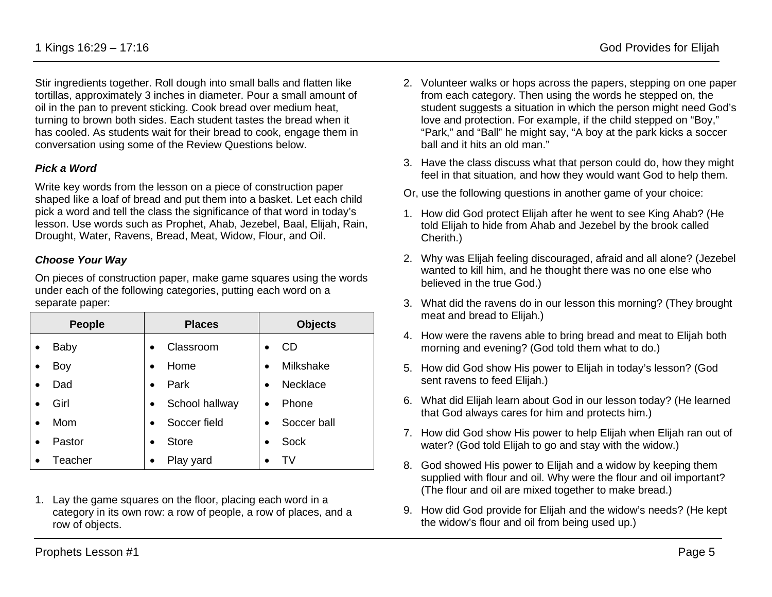Stir ingredients together. Roll dough into small balls and flatten like tortillas, approximately 3 inches in diameter. Pour a small amount of oil in the pan to prevent sticking. Cook bread over medium heat, turning to brown both sides. Each student tastes the bread when it has cooled. As students wait for their bread to cook, engage them in conversation using some of the Review Questions below.

### *Pick a Word*

Write key words from the lesson on a piece of construction paper shaped like a loaf of bread and put them into a basket. Let each child pick a word and tell the class the significance of that word in today's lesson. Use words such as Prophet, Ahab, Jezebel, Baal, Elijah, Rain, Drought, Water, Ravens, Bread, Meat, Widow, Flour, and Oil.

#### *Choose Your Way*

On pieces of construction paper, make game squares using the words under each of the following categories, putting each word on a separate paper:

| <b>People</b> | <b>Places</b>               | <b>Objects</b>           |
|---------------|-----------------------------|--------------------------|
| Baby          | Classroom                   | CD                       |
| Boy           | Home                        | Milkshake<br>$\bullet$   |
| Dad           | Park<br>$\bullet$           | Necklace<br>$\bullet$    |
| Girl          | School hallway<br>$\bullet$ | Phone<br>$\bullet$       |
| Mom           | Soccer field                | Soccer ball<br>$\bullet$ |
| Pastor        | <b>Store</b>                | Sock<br>$\bullet$        |
| Teacher       | Play yard                   |                          |

1. Lay the game squares on the floor, placing each word in a category in its own row: a row of people, a row of places, and a row of objects.

- 2. Volunteer walks or hops across the papers, stepping on one paper from each category. Then using the words he stepped on, the student suggests a situation in which the person might need God's love and protection. For example, if the child stepped on "Boy," "Park," and "Ball" he might say, "A boy at the park kicks a soccer ball and it hits an old man."
- 3. Have the class discuss what that person could do, how they might feel in that situation, and how they would want God to help them.
- Or, use the following questions in another game of your choice:
- 1. How did God protect Elijah after he went to see King Ahab? (He told Elijah to hide from Ahab and Jezebel by the brook called Cherith.)
- 2. Why was Elijah feeling discouraged, afraid and all alone? (Jezebel wanted to kill him, and he thought there was no one else who believed in the true God.)
- 3. What did the ravens do in our lesson this morning? (They brought meat and bread to Elijah.)
- 4. How were the ravens able to bring bread and meat to Elijah both morning and evening? (God told them what to do.)
- 5. How did God show His power to Elijah in today's lesson? (God sent ravens to feed Elijah.)
- 6. What did Elijah learn about God in our lesson today? (He learned that God always cares for him and protects him.)
- 7. How did God show His power to help Elijah when Elijah ran out of water? (God told Elijah to go and stay with the widow.)
- 8. God showed His power to Elijah and a widow by keeping them supplied with flour and oil. Why were the flour and oil important? (The flour and oil are mixed together to make bread.)
- 9. How did God provide for Elijah and the widow's needs? (He kept the widow's flour and oil from being used up.)